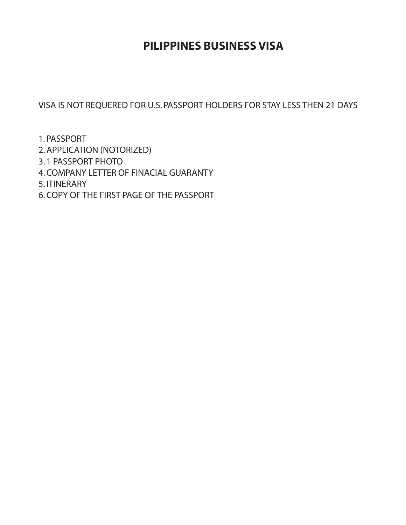# **PILIPPINES BUSINESS VISA**

VISA IS NOT REQUERED FOR U.S. PASSPORT HOLDERS FOR STAY LESS THEN 21 DAYS

- 1. PASSPORT
- 2.APPLICATION (NOTORIZED)
- 3. 1 PASSPORT PHOTO
- 4.COMPANY LETTER OF FINACIAL GUARANTY
- 5. ITINERARY
- 6.COPY OF THE FIRST PAGE OF THE PASSPORT